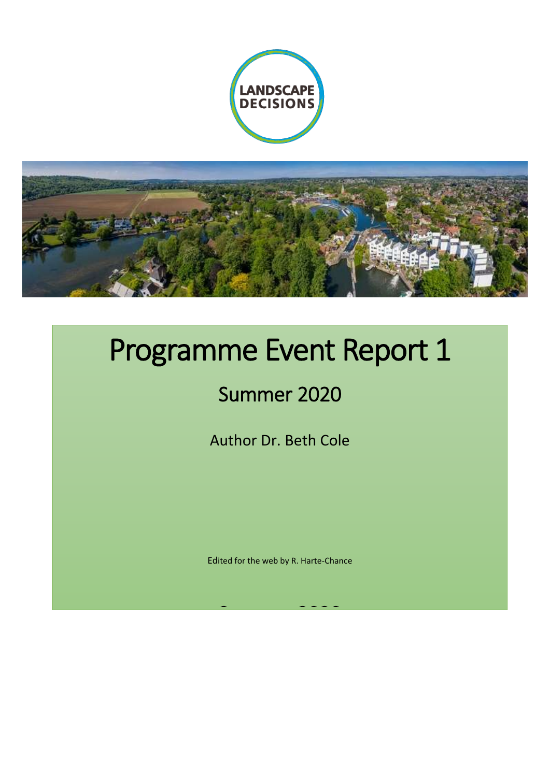



# Programme Event Report 1

# Summer 2020

Author Dr. Beth Cole

Edited for the web by R. Harte-Chance

<u>Summer 2020</u>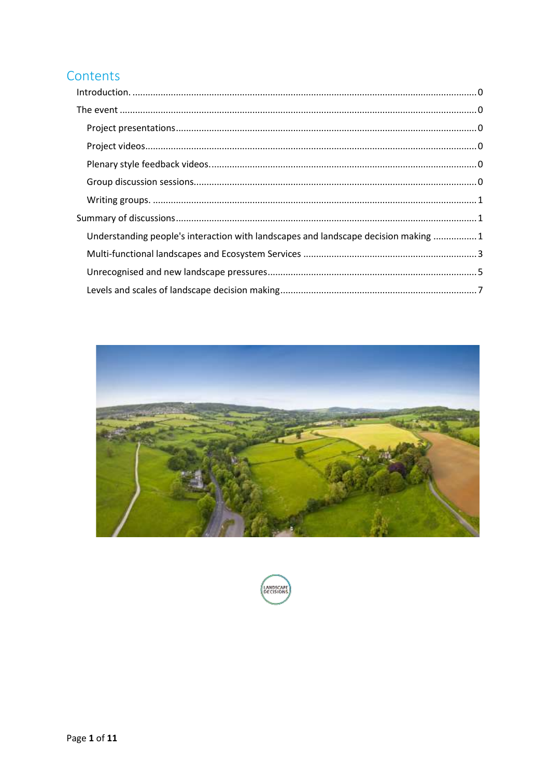# Contents

| Understanding people's interaction with landscapes and landscape decision making 1 |
|------------------------------------------------------------------------------------|
|                                                                                    |
|                                                                                    |
|                                                                                    |



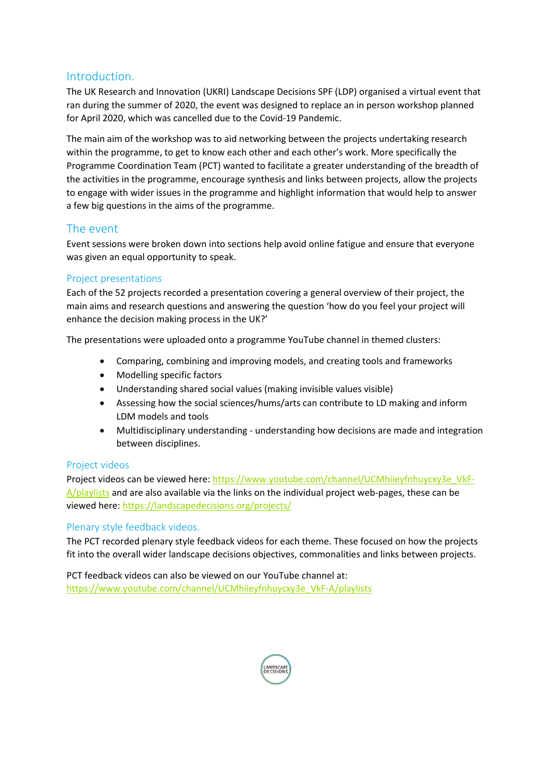## <span id="page-2-0"></span>Introduction.

The UK Research and Innovation (UKRI) Landscape Decisions SPF (LDP) organised a virtual event that ran during the summer of 2020, the event was designed to replace an in person workshop planned for April 2020, which was cancelled due to the Covid-19 Pandemic.

The main aim of the workshop was to aid networking between the projects undertaking research within the programme, to get to know each other and each other's work. More specifically the Programme Coordination Team (PCT) wanted to facilitate a greater understanding of the breadth of the activities in the programme, encourage synthesis and links between projects, allow the projects to engage with wider issues in the programme and highlight information that would help to answer a few big questions in the aims of the programme.

# <span id="page-2-1"></span>The event

Event sessions were broken down into sections help avoid online fatigue and ensure that everyone was given an equal opportunity to speak.

#### <span id="page-2-2"></span>Project presentations

Each of the 52 projects recorded a presentation covering a general overview of their project, the main aims and research questions and answering the question 'how do you feel your project will enhance the decision making process in the UK?'

The presentations were uploaded onto a programme YouTube channel in themed clusters:

- Comparing, combining and improving models, and creating tools and frameworks
- Modelling specific factors
- Understanding shared social values (making invisible values visible)
- Assessing how the social sciences/hums/arts can contribute to LD making and inform LDM models and tools
- Multidisciplinary understanding understanding how decisions are made and integration between disciplines.

#### <span id="page-2-3"></span>Project videos

Project videos can be viewed here: [https://www.youtube.com/channel/UCMhiieyfnhuycxy3e\\_VkF-](https://www.youtube.com/channel/UCMhiieyfnhuycxy3e_VkF-A/playlists)[A/playlists](https://www.youtube.com/channel/UCMhiieyfnhuycxy3e_VkF-A/playlists) and are also available via the links on the individual project web-pages, these can be viewed here[: https://landscapedecisions.org/projects/](https://landscapedecisions.org/projects/)

#### <span id="page-2-4"></span>Plenary style feedback videos.

The PCT recorded plenary style feedback videos for each theme. These focused on how the projects fit into the overall wider landscape decisions objectives, commonalities and links between projects.

<span id="page-2-5"></span>PCT feedback videos can also be viewed on our YouTube channel at: [https://www.youtube.com/channel/UCMhiieyfnhuycxy3e\\_VkF-A/playlists](https://www.youtube.com/channel/UCMhiieyfnhuycxy3e_VkF-A/playlists)

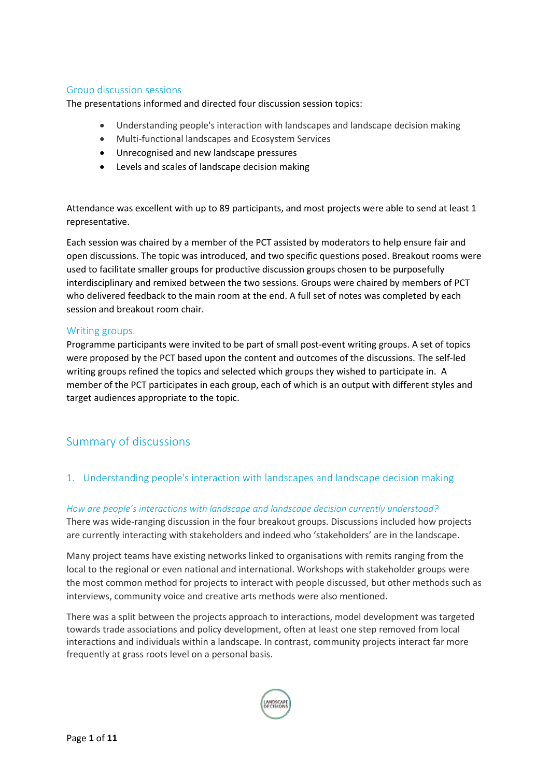#### Group discussion sessions

The presentations informed and directed four discussion session topics:

- Understanding people's interaction with landscapes and landscape decision making
- Multi-functional landscapes and Ecosystem Services
- Unrecognised and new landscape pressures
- Levels and scales of landscape decision making

Attendance was excellent with up to 89 participants, and most projects were able to send at least 1 representative.

Each session was chaired by a member of the PCT assisted by moderators to help ensure fair and open discussions. The topic was introduced, and two specific questions posed. Breakout rooms were used to facilitate smaller groups for productive discussion groups chosen to be purposefully interdisciplinary and remixed between the two sessions. Groups were chaired by members of PCT who delivered feedback to the main room at the end. A full set of notes was completed by each session and breakout room chair.

#### <span id="page-3-0"></span>Writing groups.

Programme participants were invited to be part of small post-event writing groups. A set of topics were proposed by the PCT based upon the content and outcomes of the discussions. The self-led writing groups refined the topics and selected which groups they wished to participate in. A member of the PCT participates in each group, each of which is an output with different styles and target audiences appropriate to the topic.

# <span id="page-3-1"></span>Summary of discussions

#### <span id="page-3-2"></span>1. Understanding people's interaction with landscapes and landscape decision making

#### *How are people's interactions with landscape and landscape decision currently understood?*

There was wide-ranging discussion in the four breakout groups. Discussions included how projects are currently interacting with stakeholders and indeed who 'stakeholders' are in the landscape.

Many project teams have existing networks linked to organisations with remits ranging from the local to the regional or even national and international. Workshops with stakeholder groups were the most common method for projects to interact with people discussed, but other methods such as interviews, community voice and creative arts methods were also mentioned.

There was a split between the projects approach to interactions, model development was targeted towards trade associations and policy development, often at least one step removed from local interactions and individuals within a landscape. In contrast, community projects interact far more frequently at grass roots level on a personal basis.

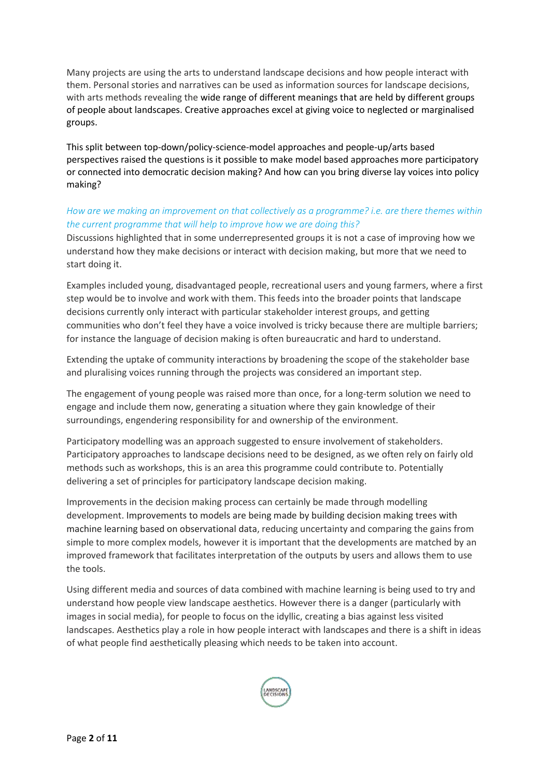Many projects are using the arts to understand landscape decisions and how people interact with them. Personal stories and narratives can be used as information sources for landscape decisions, with arts methods revealing the wide range of different meanings that are held by different groups of people about landscapes. Creative approaches excel at giving voice to neglected or marginalised groups.

This split between top-down/policy-science-model approaches and people-up/arts based perspectives raised the questions is it possible to make model based approaches more participatory or connected into democratic decision making? And how can you bring diverse lay voices into policy making?

#### *How are we making an improvement on that collectively as a programme? i.e. are there themes within the current programme that will help to improve how we are doing this?*

Discussions highlighted that in some underrepresented groups it is not a case of improving how we understand how they make decisions or interact with decision making, but more that we need to start doing it.

Examples included young, disadvantaged people, recreational users and young farmers, where a first step would be to involve and work with them. This feeds into the broader points that landscape decisions currently only interact with particular stakeholder interest groups, and getting communities who don't feel they have a voice involved is tricky because there are multiple barriers; for instance the language of decision making is often bureaucratic and hard to understand.

Extending the uptake of community interactions by broadening the scope of the stakeholder base and pluralising voices running through the projects was considered an important step.

The engagement of young people was raised more than once, for a long-term solution we need to engage and include them now, generating a situation where they gain knowledge of their surroundings, engendering responsibility for and ownership of the environment.

Participatory modelling was an approach suggested to ensure involvement of stakeholders. Participatory approaches to landscape decisions need to be designed, as we often rely on fairly old methods such as workshops, this is an area this programme could contribute to. Potentially delivering a set of principles for participatory landscape decision making.

Improvements in the decision making process can certainly be made through modelling development. Improvements to models are being made by building decision making trees with machine learning based on observational data, reducing uncertainty and comparing the gains from simple to more complex models, however it is important that the developments are matched by an improved framework that facilitates interpretation of the outputs by users and allows them to use the tools.

Using different media and sources of data combined with machine learning is being used to try and understand how people view landscape aesthetics. However there is a danger (particularly with images in social media), for people to focus on the idyllic, creating a bias against less visited landscapes. Aesthetics play a role in how people interact with landscapes and there is a shift in ideas of what people find aesthetically pleasing which needs to be taken into account.

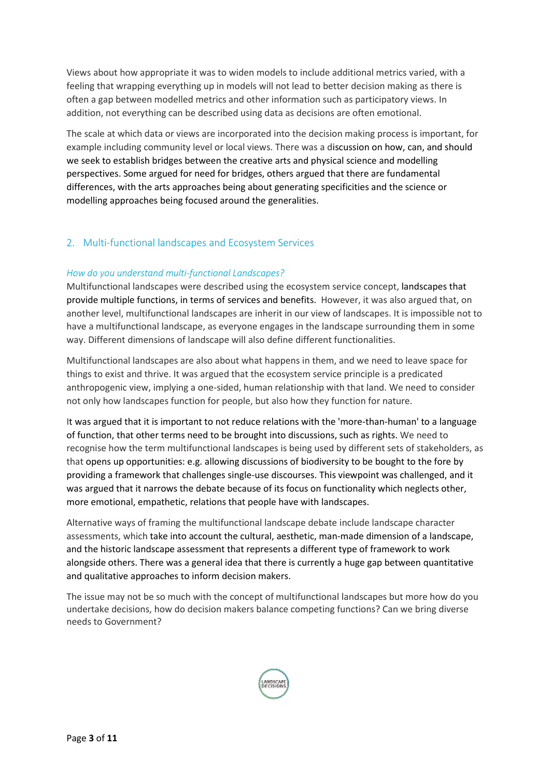Views about how appropriate it was to widen models to include additional metrics varied, with a feeling that wrapping everything up in models will not lead to better decision making as there is often a gap between modelled metrics and other information such as participatory views. In addition, not everything can be described using data as decisions are often emotional.

The scale at which data or views are incorporated into the decision making process is important, for example including community level or local views. There was a discussion on how, can, and should we seek to establish bridges between the creative arts and physical science and modelling perspectives. Some argued for need for bridges, others argued that there are fundamental differences, with the arts approaches being about generating specificities and the science or modelling approaches being focused around the generalities.

#### <span id="page-5-0"></span>2. Multi-functional landscapes and Ecosystem Services

#### *How do you understand multi-functional Landscapes?*

Multifunctional landscapes were described using the ecosystem service concept, landscapes that provide multiple functions, in terms of services and benefits. However, it was also argued that, on another level, multifunctional landscapes are inherit in our view of landscapes. It is impossible not to have a multifunctional landscape, as everyone engages in the landscape surrounding them in some way. Different dimensions of landscape will also define different functionalities.

Multifunctional landscapes are also about what happens in them, and we need to leave space for things to exist and thrive. It was argued that the ecosystem service principle is a predicated anthropogenic view, implying a one-sided, human relationship with that land. We need to consider not only how landscapes function for people, but also how they function for nature.

It was argued that it is important to not reduce relations with the 'more-than-human' to a language of function, that other terms need to be brought into discussions, such as rights. We need to recognise how the term multifunctional landscapes is being used by different sets of stakeholders, as that opens up opportunities: e.g. allowing discussions of biodiversity to be bought to the fore by providing a framework that challenges single-use discourses. This viewpoint was challenged, and it was argued that it narrows the debate because of its focus on functionality which neglects other, more emotional, empathetic, relations that people have with landscapes.

Alternative ways of framing the multifunctional landscape debate include landscape character assessments, which take into account the cultural, aesthetic, man-made dimension of a landscape, and the historic landscape assessment that represents a different type of framework to work alongside others. There was a general idea that there is currently a huge gap between quantitative and qualitative approaches to inform decision makers.

The issue may not be so much with the concept of multifunctional landscapes but more how do you undertake decisions, how do decision makers balance competing functions? Can we bring diverse needs to Government?

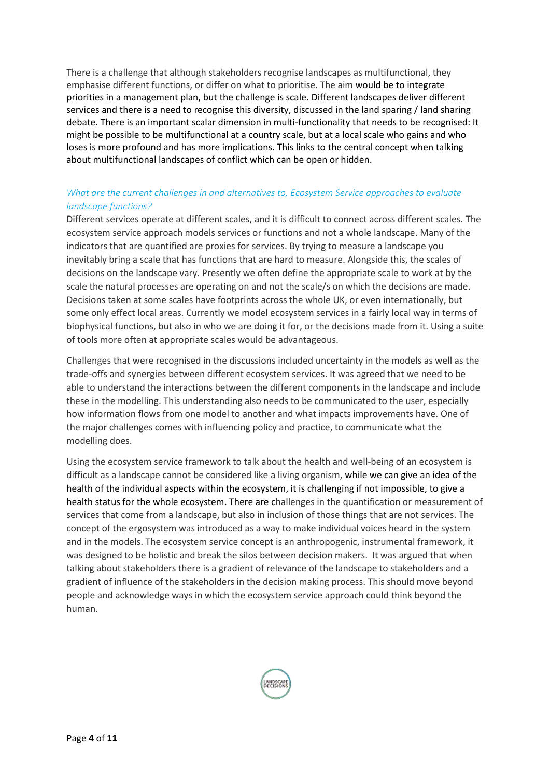There is a challenge that although stakeholders recognise landscapes as multifunctional, they emphasise different functions, or differ on what to prioritise. The aim would be to integrate priorities in a management plan, but the challenge is scale. Different landscapes deliver different services and there is a need to recognise this diversity, discussed in the land sparing / land sharing debate. There is an important scalar dimension in multi-functionality that needs to be recognised: It might be possible to be multifunctional at a country scale, but at a local scale who gains and who loses is more profound and has more implications. This links to the central concept when talking about multifunctional landscapes of conflict which can be open or hidden.

## *What are the current challenges in and alternatives to, Ecosystem Service approaches to evaluate landscape functions?*

Different services operate at different scales, and it is difficult to connect across different scales. The ecosystem service approach models services or functions and not a whole landscape. Many of the indicators that are quantified are proxies for services. By trying to measure a landscape you inevitably bring a scale that has functions that are hard to measure. Alongside this, the scales of decisions on the landscape vary. Presently we often define the appropriate scale to work at by the scale the natural processes are operating on and not the scale/s on which the decisions are made. Decisions taken at some scales have footprints across the whole UK, or even internationally, but some only effect local areas. Currently we model ecosystem services in a fairly local way in terms of biophysical functions, but also in who we are doing it for, or the decisions made from it. Using a suite of tools more often at appropriate scales would be advantageous.

Challenges that were recognised in the discussions included uncertainty in the models as well as the trade-offs and synergies between different ecosystem services. It was agreed that we need to be able to understand the interactions between the different components in the landscape and include these in the modelling. This understanding also needs to be communicated to the user, especially how information flows from one model to another and what impacts improvements have. One of the major challenges comes with influencing policy and practice, to communicate what the modelling does.

Using the ecosystem service framework to talk about the health and well-being of an ecosystem is difficult as a landscape cannot be considered like a living organism, while we can give an idea of the health of the individual aspects within the ecosystem, it is challenging if not impossible, to give a health status for the whole ecosystem. There are challenges in the quantification or measurement of services that come from a landscape, but also in inclusion of those things that are not services. The concept of the ergosystem was introduced as a way to make individual voices heard in the system and in the models. The ecosystem service concept is an anthropogenic, instrumental framework, it was designed to be holistic and break the silos between decision makers. It was argued that when talking about stakeholders there is a gradient of relevance of the landscape to stakeholders and a gradient of influence of the stakeholders in the decision making process. This should move beyond people and acknowledge ways in which the ecosystem service approach could think beyond the human.

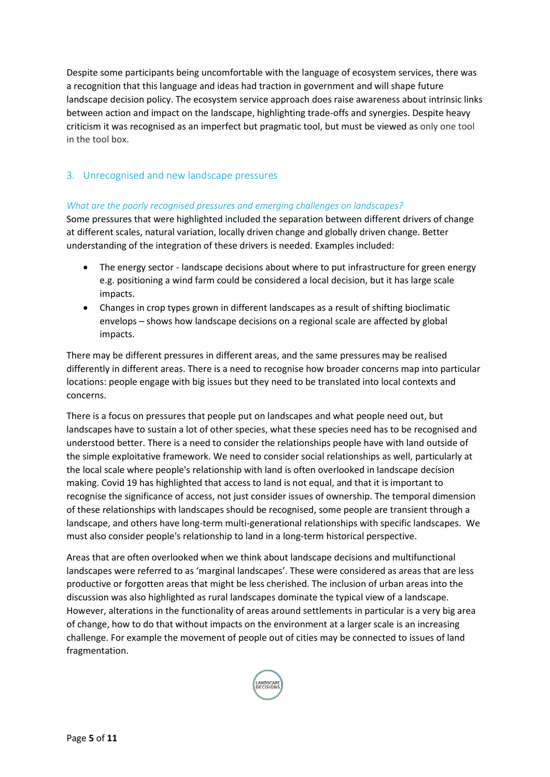Despite some participants being uncomfortable with the language of ecosystem services, there was a recognition that this language and ideas had traction in government and will shape future landscape decision policy. The ecosystem service approach does raise awareness about intrinsic links between action and impact on the landscape, highlighting trade-offs and synergies. Despite heavy criticism it was recognised as an imperfect but pragmatic tool, but must be viewed as only one tool in the tool box.

#### <span id="page-7-0"></span>3. Unrecognised and new landscape pressures

#### *What are the poorly recognised pressures and emerging challenges on landscapes?*

Some pressures that were highlighted included the separation between different drivers of change at different scales, natural variation, locally driven change and globally driven change. Better understanding of the integration of these drivers is needed. Examples included:

- The energy sector landscape decisions about where to put infrastructure for green energy e.g. positioning a wind farm could be considered a local decision, but it has large scale impacts.
- Changes in crop types grown in different landscapes as a result of shifting bioclimatic envelops – shows how landscape decisions on a regional scale are affected by global impacts.

There may be different pressures in different areas, and the same pressures may be realised differently in different areas. There is a need to recognise how broader concerns map into particular locations: people engage with big issues but they need to be translated into local contexts and concerns.

There is a focus on pressures that people put on landscapes and what people need out, but landscapes have to sustain a lot of other species, what these species need has to be recognised and understood better. There is a need to consider the relationships people have with land outside of the simple exploitative framework. We need to consider social relationships as well, particularly at the local scale where people's relationship with land is often overlooked in landscape decision making. Covid 19 has highlighted that access to land is not equal, and that it is important to recognise the significance of access, not just consider issues of ownership. The temporal dimension of these relationships with landscapes should be recognised, some people are transient through a landscape, and others have long-term multi-generational relationships with specific landscapes. We must also consider people's relationship to land in a long-term historical perspective.

Areas that are often overlooked when we think about landscape decisions and multifunctional landscapes were referred to as 'marginal landscapes'. These were considered as areas that are less productive or forgotten areas that might be less cherished. The inclusion of urban areas into the discussion was also highlighted as rural landscapes dominate the typical view of a landscape. However, alterations in the functionality of areas around settlements in particular is a very big area of change, how to do that without impacts on the environment at a larger scale is an increasing challenge. For example the movement of people out of cities may be connected to issues of land fragmentation.

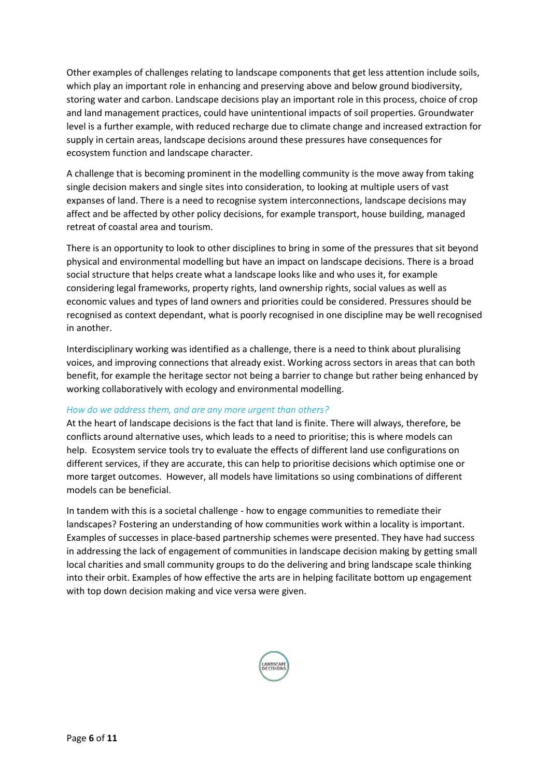Other examples of challenges relating to landscape components that get less attention include soils, which play an important role in enhancing and preserving above and below ground biodiversity, storing water and carbon. Landscape decisions play an important role in this process, choice of crop and land management practices, could have unintentional impacts of soil properties. Groundwater level is a further example, with reduced recharge due to climate change and increased extraction for supply in certain areas, landscape decisions around these pressures have consequences for ecosystem function and landscape character.

A challenge that is becoming prominent in the modelling community is the move away from taking single decision makers and single sites into consideration, to looking at multiple users of vast expanses of land. There is a need to recognise system interconnections, landscape decisions may affect and be affected by other policy decisions, for example transport, house building, managed retreat of coastal area and tourism. 

There is an opportunity to look to other disciplines to bring in some of the pressures that sit beyond physical and environmental modelling but have an impact on landscape decisions. There is a broad social structure that helps create what a landscape looks like and who uses it, for example considering legal frameworks, property rights, land ownership rights, social values as well as economic values and types of land owners and priorities could be considered. Pressures should be recognised as context dependant, what is poorly recognised in one discipline may be well recognised in another.

Interdisciplinary working was identified as a challenge, there is a need to think about pluralising voices, and improving connections that already exist. Working across sectors in areas that can both benefit, for example the heritage sector not being a barrier to change but rather being enhanced by working collaboratively with ecology and environmental modelling.

#### *How do we address them, and are any more urgent than others?*

At the heart of landscape decisions is the fact that land is finite. There will always, therefore, be conflicts around alternative uses, which leads to a need to prioritise; this is where models can help.  Ecosystem service tools try to evaluate the effects of different land use configurations on different services, if they are accurate, this can help to prioritise decisions which optimise one or more target outcomes.  However, all models have limitations so using combinations of different models can be beneficial.

In tandem with this is a societal challenge - how to engage communities to remediate their landscapes? Fostering an understanding of how communities work within a locality is important. Examples of successes in place-based partnership schemes were presented. They have had success in addressing the lack of engagement of communities in landscape decision making by getting small local charities and small community groups to do the delivering and bring landscape scale thinking into their orbit. Examples of how effective the arts are in helping facilitate bottom up engagement with top down decision making and vice versa were given.

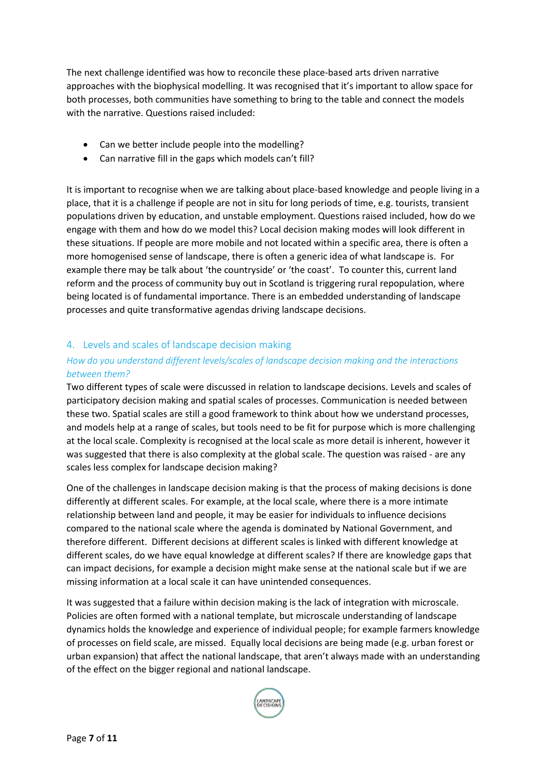The next challenge identified was how to reconcile these place-based arts driven narrative approaches with the biophysical modelling. It was recognised that it's important to allow space for both processes, both communities have something to bring to the table and connect the models with the narrative. Questions raised included:

- Can we better include people into the modelling?
- Can narrative fill in the gaps which models can't fill?

It is important to recognise when we are talking about place-based knowledge and people living in a place, that it is a challenge if people are not in situ for long periods of time, e.g. tourists, transient populations driven by education, and unstable employment. Questions raised included, how do we engage with them and how do we model this? Local decision making modes will look different in these situations. If people are more mobile and not located within a specific area, there is often a more homogenised sense of landscape, there is often a generic idea of what landscape is. For example there may be talk about 'the countryside' or 'the coast'. To counter this, current land reform and the process of community buy out in Scotland is triggering rural repopulation, where being located is of fundamental importance. There is an embedded understanding of landscape processes and quite transformative agendas driving landscape decisions.

#### <span id="page-9-0"></span>4. Levels and scales of landscape decision making

#### *How do you understand different levels/scales of landscape decision making and the interactions between them?*

Two different types of scale were discussed in relation to landscape decisions. Levels and scales of participatory decision making and spatial scales of processes. Communication is needed between these two. Spatial scales are still a good framework to think about how we understand processes, and models help at a range of scales, but tools need to be fit for purpose which is more challenging at the local scale. Complexity is recognised at the local scale as more detail is inherent, however it was suggested that there is also complexity at the global scale. The question was raised - are any scales less complex for landscape decision making?

One of the challenges in landscape decision making is that the process of making decisions is done differently at different scales. For example, at the local scale, where there is a more intimate relationship between land and people, it may be easier for individuals to influence decisions compared to the national scale where the agenda is dominated by National Government, and therefore different. Different decisions at different scales is linked with different knowledge at different scales, do we have equal knowledge at different scales? If there are knowledge gaps that can impact decisions, for example a decision might make sense at the national scale but if we are missing information at a local scale it can have unintended consequences.

It was suggested that a failure within decision making is the lack of integration with microscale. Policies are often formed with a national template, but microscale understanding of landscape dynamics holds the knowledge and experience of individual people; for example farmers knowledge of processes on field scale, are missed.  Equally local decisions are being made (e.g. urban forest or urban expansion) that affect the national landscape, that aren't always made with an understanding of the effect on the bigger regional and national landscape.

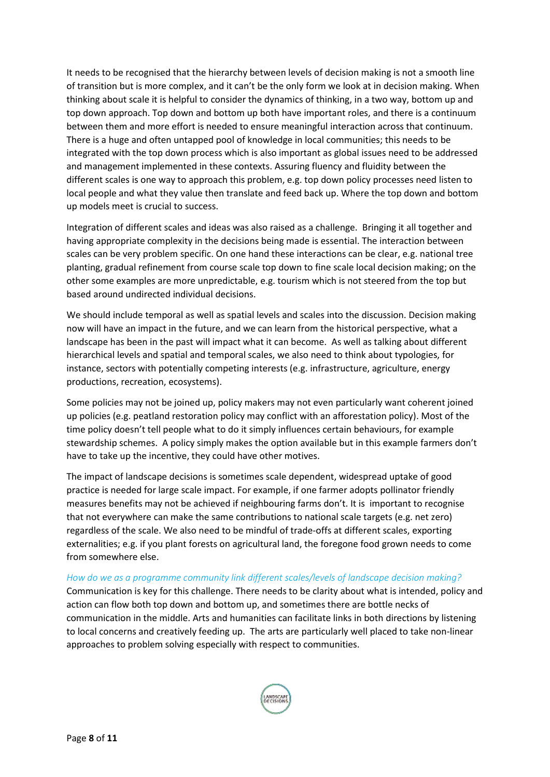It needs to be recognised that the hierarchy between levels of decision making is not a smooth line of transition but is more complex, and it can't be the only form we look at in decision making. When thinking about scale it is helpful to consider the dynamics of thinking, in a two way, bottom up and top down approach. Top down and bottom up both have important roles, and there is a continuum between them and more effort is needed to ensure meaningful interaction across that continuum. There is a huge and often untapped pool of knowledge in local communities; this needs to be integrated with the top down process which is also important as global issues need to be addressed and management implemented in these contexts. Assuring fluency and fluidity between the different scales is one way to approach this problem, e.g. top down policy processes need listen to local people and what they value then translate and feed back up. Where the top down and bottom up models meet is crucial to success.

Integration of different scales and ideas was also raised as a challenge. Bringing it all together and having appropriate complexity in the decisions being made is essential. The interaction between scales can be very problem specific. On one hand these interactions can be clear, e.g. national tree planting, gradual refinement from course scale top down to fine scale local decision making; on the other some examples are more unpredictable, e.g. tourism which is not steered from the top but based around undirected individual decisions.

We should include temporal as well as spatial levels and scales into the discussion. Decision making now will have an impact in the future, and we can learn from the historical perspective, what a landscape has been in the past will impact what it can become.  As well as talking about different hierarchical levels and spatial and temporal scales, we also need to think about typologies, for instance, sectors with potentially competing interests (e.g. infrastructure, agriculture, energy productions, recreation, ecosystems). 

Some policies may not be joined up, policy makers may not even particularly want coherent joined up policies (e.g. peatland restoration policy may conflict with an afforestation policy). Most of the time policy doesn't tell people what to do it simply influences certain behaviours, for example stewardship schemes.  A policy simply makes the option available but in this example farmers don't have to take up the incentive, they could have other motives.

The impact of landscape decisions is sometimes scale dependent, widespread uptake of good practice is needed for large scale impact. For example, if one farmer adopts pollinator friendly measures benefits may not be achieved if neighbouring farms don't. It is important to recognise that not everywhere can make the same contributions to national scale targets (e.g. net zero) regardless of the scale. We also need to be mindful of trade-offs at different scales, exporting externalities; e.g. if you plant forests on agricultural land, the foregone food grown needs to come from somewhere else.  

*How do we as a programme community link different scales/levels of landscape decision making?* Communication is key for this challenge. There needs to be clarity about what is intended, policy and action can flow both top down and bottom up, and sometimes there are bottle necks of communication in the middle. Arts and humanities can facilitate links in both directions by listening to local concerns and creatively feeding up.  The arts are particularly well placed to take non-linear approaches to problem solving especially with respect to communities.